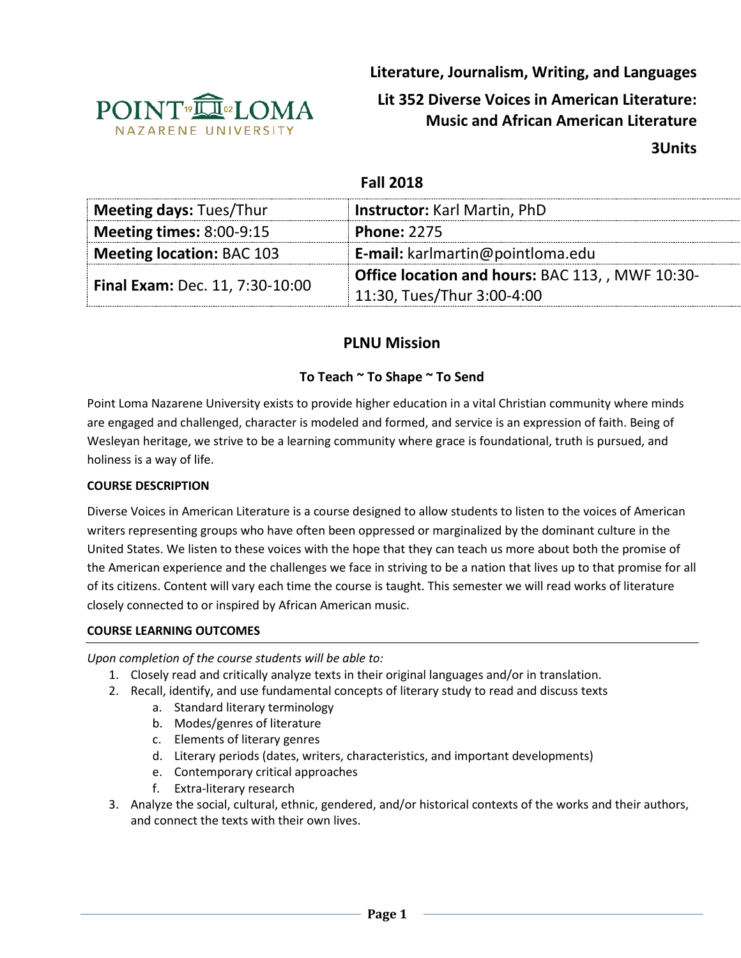

**Literature, Journalism, Writing, and Languages**

# **Lit 352 Diverse Voices in American Literature: Music and African American Literature**

**3Units**

## **Fall 2018**

| <b>Meeting days: Tues/Thur</b>         | <b>Instructor: Karl Martin, PhD</b>              |  |
|----------------------------------------|--------------------------------------------------|--|
| <b>Meeting times: 8:00-9:15</b>        | <b>Phone: 2275</b>                               |  |
| <b>Meeting location: BAC 103</b>       | <b>E-mail:</b> karlmartin@pointloma.edu          |  |
|                                        | Office location and hours: BAC 113, , MWF 10:30- |  |
| <b>Final Exam: Dec. 11, 7:30-10:00</b> | 11:30, Tues/Thur 3:00-4:00                       |  |

# **PLNU Mission**

## **To Teach ~ To Shape ~ To Send**

Point Loma Nazarene University exists to provide higher education in a vital Christian community where minds are engaged and challenged, character is modeled and formed, and service is an expression of faith. Being of Wesleyan heritage, we strive to be a learning community where grace is foundational, truth is pursued, and holiness is a way of life.

#### **COURSE DESCRIPTION**

Diverse Voices in American Literature is a course designed to allow students to listen to the voices of American writers representing groups who have often been oppressed or marginalized by the dominant culture in the United States. We listen to these voices with the hope that they can teach us more about both the promise of the American experience and the challenges we face in striving to be a nation that lives up to that promise for all of its citizens. Content will vary each time the course is taught. This semester we will read works of literature closely connected to or inspired by African American music.

#### **COURSE LEARNING OUTCOMES**

*Upon completion of the course students will be able to:*

- 1. Closely read and critically analyze texts in their original languages and/or in translation.
- 2. Recall, identify, and use fundamental concepts of literary study to read and discuss texts
	- a. Standard literary terminology
	- b. Modes/genres of literature
	- c. Elements of literary genres
	- d. Literary periods (dates, writers, characteristics, and important developments)
	- e. Contemporary critical approaches
	- f. Extra-literary research
- 3. Analyze the social, cultural, ethnic, gendered, and/or historical contexts of the works and their authors, and connect the texts with their own lives.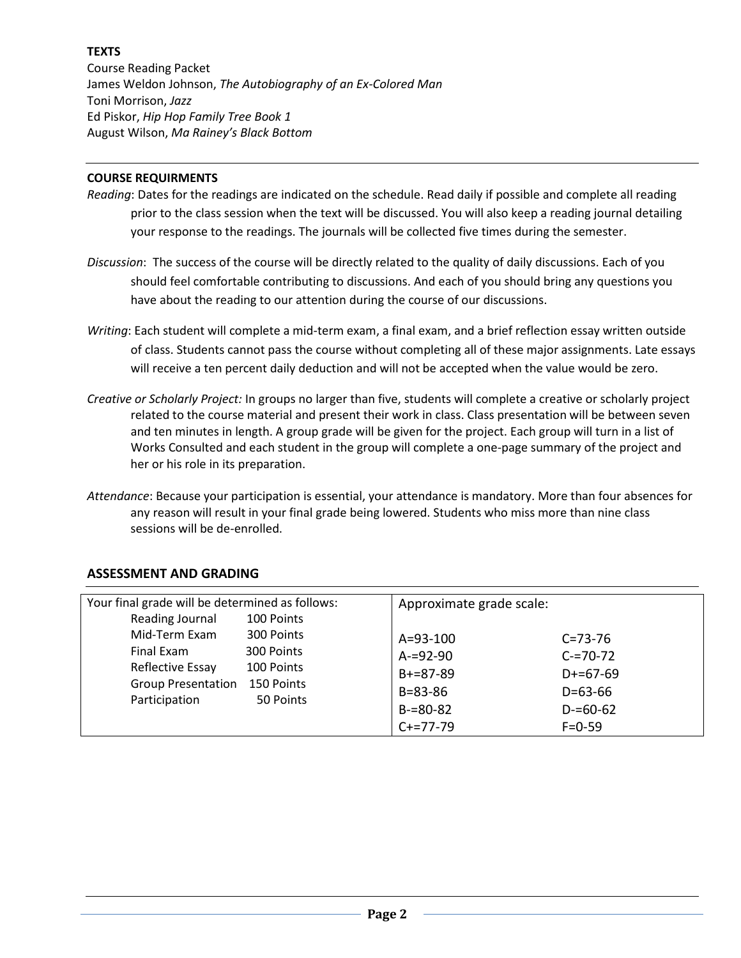## **TEXTS**

Course Reading Packet James Weldon Johnson, *The Autobiography of an Ex-Colored Man* Toni Morrison, *Jazz* Ed Piskor, *Hip Hop Family Tree Book 1* August Wilson, *Ma Rainey's Black Bottom*

#### **COURSE REQUIRMENTS**

- *Reading*: Dates for the readings are indicated on the schedule. Read daily if possible and complete all reading prior to the class session when the text will be discussed. You will also keep a reading journal detailing your response to the readings. The journals will be collected five times during the semester.
- *Discussion*: The success of the course will be directly related to the quality of daily discussions. Each of you should feel comfortable contributing to discussions. And each of you should bring any questions you have about the reading to our attention during the course of our discussions.
- *Writing*: Each student will complete a mid-term exam, a final exam, and a brief reflection essay written outside of class. Students cannot pass the course without completing all of these major assignments. Late essays will receive a ten percent daily deduction and will not be accepted when the value would be zero.
- *Creative or Scholarly Project:* In groups no larger than five, students will complete a creative or scholarly project related to the course material and present their work in class. Class presentation will be between seven and ten minutes in length. A group grade will be given for the project. Each group will turn in a list of Works Consulted and each student in the group will complete a one-page summary of the project and her or his role in its preparation.
- *Attendance*: Because your participation is essential, your attendance is mandatory. More than four absences for any reason will result in your final grade being lowered. Students who miss more than nine class sessions will be de-enrolled.

| Your final grade will be determined as follows:                |            | Approximate grade scale: |               |
|----------------------------------------------------------------|------------|--------------------------|---------------|
| Reading Journal                                                | 100 Points |                          |               |
| Mid-Term Exam                                                  | 300 Points | $A = 93 - 100$           | $C = 73 - 76$ |
| Final Exam                                                     | 300 Points | $A = 92 - 90$            | $C = 70 - 72$ |
| Reflective Essay<br><b>Group Presentation</b><br>Participation | 100 Points | $B+=87-89$               | $D+=67-69$    |
|                                                                | 150 Points | $B = 83 - 86$            | $D = 63 - 66$ |
|                                                                | 50 Points  | $B = 80 - 82$            | $D = 60 - 62$ |
|                                                                |            |                          |               |
|                                                                |            | $C+=77-79$               | $F = 0 - 59$  |

#### **ASSESSMENT AND GRADING**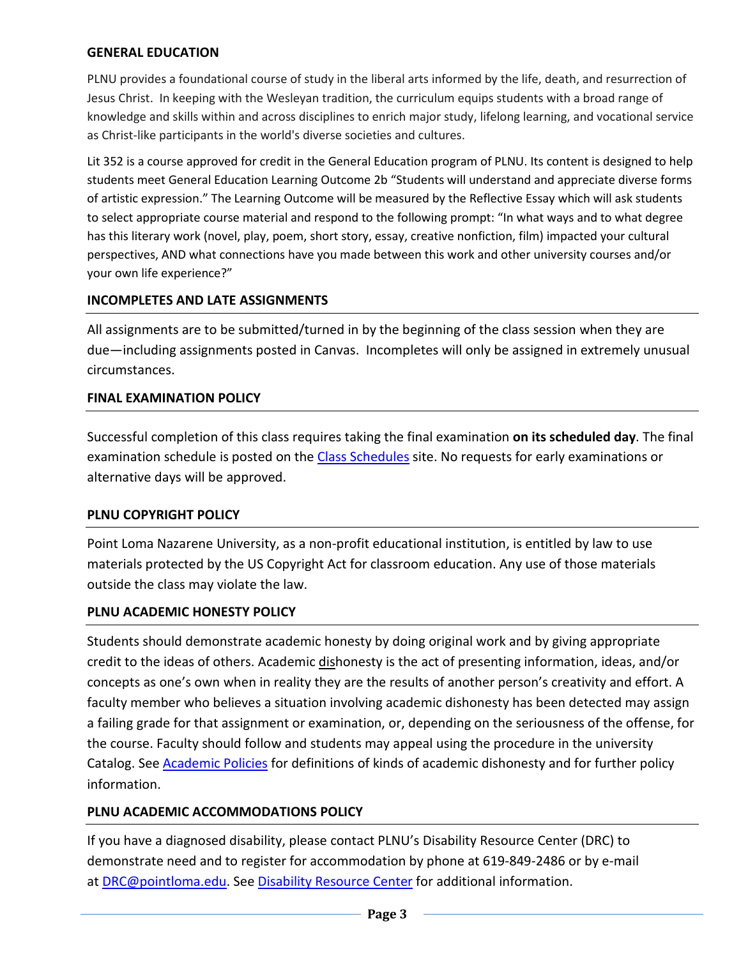## **GENERAL EDUCATION**

PLNU provides a foundational course of study in the liberal arts informed by the life, death, and resurrection of Jesus Christ. In keeping with the Wesleyan tradition, the curriculum equips students with a broad range of knowledge and skills within and across disciplines to enrich major study, lifelong learning, and vocational service as Christ-like participants in the world's diverse societies and cultures.

Lit 352 is a course approved for credit in the General Education program of PLNU. Its content is designed to help students meet General Education Learning Outcome 2b "Students will understand and appreciate diverse forms of artistic expression." The Learning Outcome will be measured by the Reflective Essay which will ask students to select appropriate course material and respond to the following prompt: "In what ways and to what degree has this literary work (novel, play, poem, short story, essay, creative nonfiction, film) impacted your cultural perspectives, AND what connections have you made between this work and other university courses and/or your own life experience?"

## **INCOMPLETES AND LATE ASSIGNMENTS**

All assignments are to be submitted/turned in by the beginning of the class session when they are due—including assignments posted in Canvas. Incompletes will only be assigned in extremely unusual circumstances.

#### **FINAL EXAMINATION POLICY**

Successful completion of this class requires taking the final examination **on its scheduled day**. The final examination schedule is posted on the [Class Schedules](http://www.pointloma.edu/experience/academics/class-schedules) site. No requests for early examinations or alternative days will be approved.

#### **PLNU COPYRIGHT POLICY**

Point Loma Nazarene University, as a non-profit educational institution, is entitled by law to use materials protected by the US Copyright Act for classroom education. Any use of those materials outside the class may violate the law.

#### **PLNU ACADEMIC HONESTY POLICY**

Students should demonstrate academic honesty by doing original work and by giving appropriate credit to the ideas of others. Academic dishonesty is the act of presenting information, ideas, and/or concepts as one's own when in reality they are the results of another person's creativity and effort. A faculty member who believes a situation involving academic dishonesty has been detected may assign a failing grade for that assignment or examination, or, depending on the seriousness of the offense, for the course. Faculty should follow and students may appeal using the procedure in the university Catalog. See [Academic Policies](http://catalog.pointloma.edu/content.php?catoid=18&navoid=1278) for definitions of kinds of academic dishonesty and for further policy information.

## **PLNU ACADEMIC ACCOMMODATIONS POLICY**

If you have a diagnosed disability, please contact PLNU's Disability Resource Center (DRC) to demonstrate need and to register for accommodation by phone at 619-849-2486 or by e-mail at [DRC@pointloma.edu.](mailto:DRC@pointloma.edu) See [Disability Resource Center](http://www.pointloma.edu/experience/offices/administrative-offices/academic-advising-office/disability-resource-center) for additional information.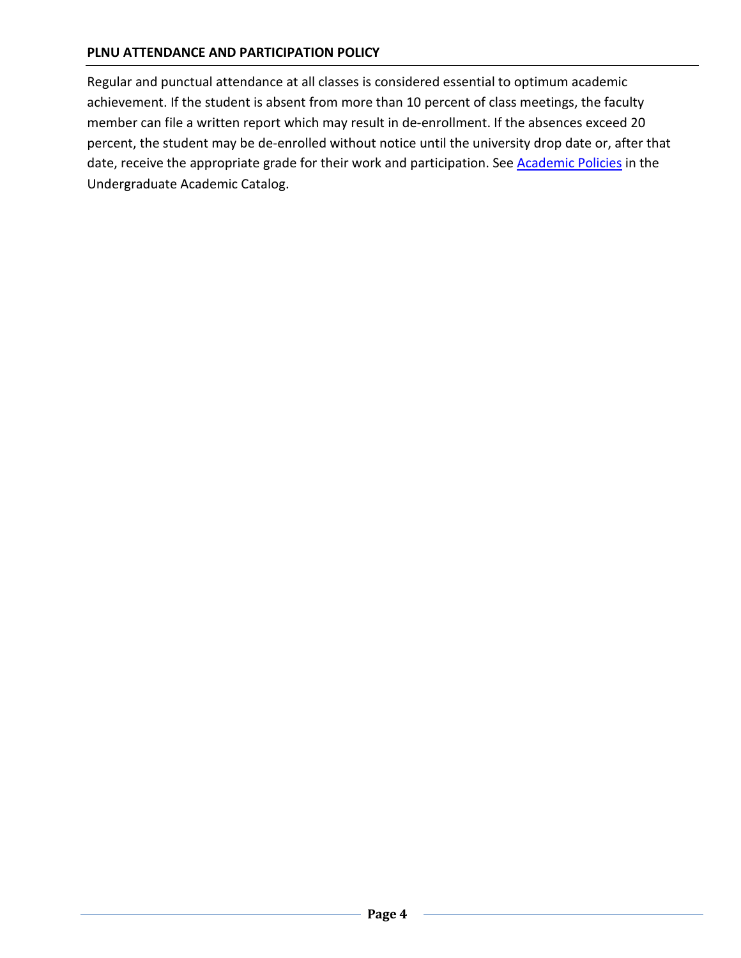## **PLNU ATTENDANCE AND PARTICIPATION POLICY**

Regular and punctual attendance at all classes is considered essential to optimum academic achievement. If the student is absent from more than 10 percent of class meetings, the faculty member can file a written report which may result in de-enrollment. If the absences exceed 20 percent, the student may be de-enrolled without notice until the university drop date or, after that date, receive the appropriate grade for their work and participation. See **Academic Policies** in the Undergraduate Academic Catalog.